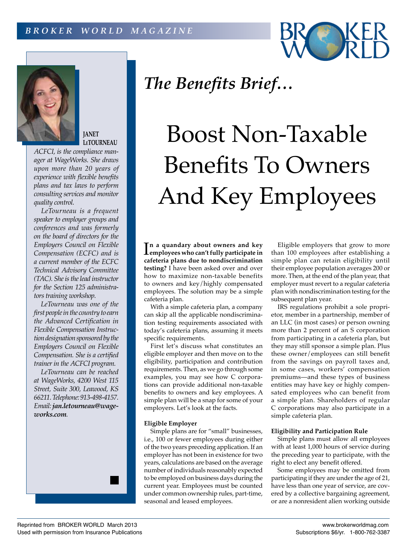



**JANET LeTOURNEAU**

*ACFCI, is the compliance manager at WageWorks. She draws upon more than 20 years of experience with flexible benefits plans and tax laws to perform consulting services and monitor quality control.*

*LeTourneau is a frequent speaker to employer groups and conferences and was formerly on the board of directors for the Employers Council on Flexible Compensation (ECFC) and is a current member of the ECFC Technical Advisory Committee (TAC). She is the lead instructor for the Section 125 administrators training workshop.*

*LeTourneau was one of the first people in the country to earn the Advanced Certification in Flexible Compensation Instruction designation sponsored by the Employers Council on Flexible Compensation. She is a certified trainer in the ACFCI program.*

*LeTourneau can be reached at WageWorks, 4200 West 115 Street, Suite 300, Leawood, KS 66211. Telephone: 913-498-4157. Email: jan.letourneau@wageworks.com.*

# *The Benefits Brief…*

# Boost Non-Taxable Benefits To Owners And Key Employees

In a quandary about owners and key<br> **Lemployees** who can't fully participate in **employees who can't fully participate in cafeteria plans due to nondiscrimination testing?** I have been asked over and over how to maximize non-taxable benefits to owners and key/highly compensated employees. The solution may be a simple cafeteria plan.

With a simple cafeteria plan, a company can skip all the applicable nondiscrimination testing requirements associated with today's cafeteria plans, assuming it meets specific requirements.

First let's discuss what constitutes an eligible employer and then move on to the eligibility, participation and contribution requirements. Then, as we go through some examples, you may see how C corporations can provide additional non-taxable benefits to owners and key employees. A simple plan will be a snap for some of your employers. Let's look at the facts.

# **Eligible Employer**

Simple plans are for "small" businesses, i.e., 100 or fewer employees during either of the two years preceding application. If an employer has not been in existence for two years, calculations are based on the average number of individuals reasonably expected to be employed on business days during the current year. Employees must be counted under common ownership rules, part-time, seasonal and leased employees.

Eligible employers that grow to more than 100 employees after establishing a simple plan can retain eligibility until their employee population averages 200 or more. Then, at the end of the plan year, that employer must revert to a regular cafeteria plan with nondiscrimination testing for the subsequent plan year.

IRS regulations prohibit a sole proprietor, member in a partnership, member of an LLC (in most cases) or person owning more than 2 percent of an S corporation from participating in a cafeteria plan, but they may still sponsor a simple plan. Plus these owner/employees can still benefit from the savings on payroll taxes and, in some cases, workers' compensation premiums—and these types of business entities may have key or highly compensated employees who can benefit from a simple plan. Shareholders of regular C corporations may also participate in a simple cafeteria plan.

# **Eligibility and Participation Rule**

Simple plans must allow all employees with at least 1,000 hours of service during the preceding year to participate, with the right to elect any benefit offered.

Some employees may be omitted from participating if they are under the age of 21, have less than one year of service, are covered by a collective bargaining agreement, or are a nonresident alien working outside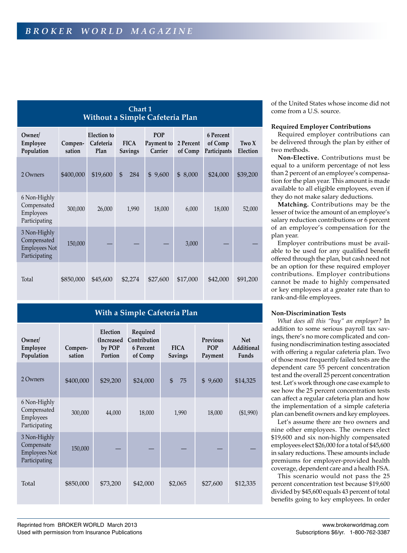# **Chart 1 Without a Simple Cafeteria Plan**

| Owner/<br>Employee<br>Population                              | Compen-<br>sation | <b>Election</b> to<br>Cafeteria<br>Plan | <b>FICA</b><br><b>Savings</b> | <b>POP</b><br>Payment to<br>Carrier | 2 Percent<br>of Comp | 6 Percent<br>of Comp<br>Participants | Two X<br>Election |
|---------------------------------------------------------------|-------------------|-----------------------------------------|-------------------------------|-------------------------------------|----------------------|--------------------------------------|-------------------|
| 2 Owners                                                      | \$400,000         | \$19,600                                | $\mathfrak{L}$<br>284         | 9,600<br>$\mathfrak{L}$             | 8,000<br>\$          | \$24,000                             | \$39,200          |
| 6 Non-Highly<br>Compensated<br>Employees<br>Participating     | 300,000           | 26,000                                  | 1,990                         | 18,000                              | 6,000                | 18,000                               | 52,000            |
| 3 Non-Highly<br>Compensated<br>Employees Not<br>Participating | 150,000           |                                         |                               |                                     | 3,000                |                                      |                   |
| Total                                                         | \$850,000         | \$45,600                                | \$2,274                       | \$27,600                            | \$17,000             | \$42,000                             | \$91,200          |

# **With a Simple Cafeteria Plan**

| Owner/<br>Employee<br>Population                                    | Compen-<br>sation | Election<br>(Increased<br>by POP<br>Portion | Required<br>Contribution<br>6 Percent<br>of Comp | <b>FICA</b><br><b>Savings</b> | Previous<br><b>POP</b><br>Payment | <b>Net</b><br>Additional<br>Funds |
|---------------------------------------------------------------------|-------------------|---------------------------------------------|--------------------------------------------------|-------------------------------|-----------------------------------|-----------------------------------|
| 2 Owners                                                            | \$400,000         | \$29,200                                    | \$24,000                                         | $\mathfrak{L}$<br>75          | \$9,600                           | \$14,325                          |
| 6 Non-Highly<br>Compensated<br>Employees<br>Participating           | 300,000           | 44,000                                      | 18,000                                           | 1,990                         | 18,000                            | (\$1,990)                         |
| 3 Non-Highly<br>Compensate<br><b>Employees Not</b><br>Participating | 150,000           |                                             |                                                  |                               |                                   |                                   |
| Total                                                               | \$850,000         | \$73,200                                    | \$42,000                                         | \$2,065                       | \$27,600                          | \$12,335                          |

of the United States whose income did not come from a U.S. source.

# **Required Employer Contributions**

Required employer contributions can be delivered through the plan by either of two methods.

**Non-Elective.** Contributions must be equal to a uniform percentage of not less than 2 percent of an employee's compensation for the plan year. This amount is made available to all eligible employees, even if they do not make salary deductions.

**Matching.** Contributions may be the lesser of twice the amount of an employee's salary reduction contributions or 6 percent of an employee's compensation for the plan year.

Employer contributions must be available to be used for any qualified benefit offered through the plan, but cash need not be an option for these required employer contributions. Employer contributions cannot be made to highly compensated or key employees at a greater rate than to rank-and-file employees.

# **Non-Discrimination Tests**

*What does all this "buy" an employer?* In addition to some serious payroll tax savings, there's no more complicated and confusing nondiscrimination testing associated with offering a regular cafeteria plan. Two of those most frequently failed tests are the dependent care 55 percent concentration test and the overall 25 percent concentration test. Let's work through one case example to see how the 25 percent concentration tests can affect a regular cafeteria plan and how the implementation of a simple cafeteria plan can benefit owners and key employees.

Let's assume there are two owners and nine other employees. The owners elect \$19,600 and six non-highly compensated employees elect \$26,000 for a total of \$45,600 in salary reductions. These amounts include premiums for employer-provided health coverage, dependent care and a health FSA.

This scenario would not pass the 25 percent concentration test because \$19,600 divided by \$45,600 equals 43 percent of total benefits going to key employees. In order